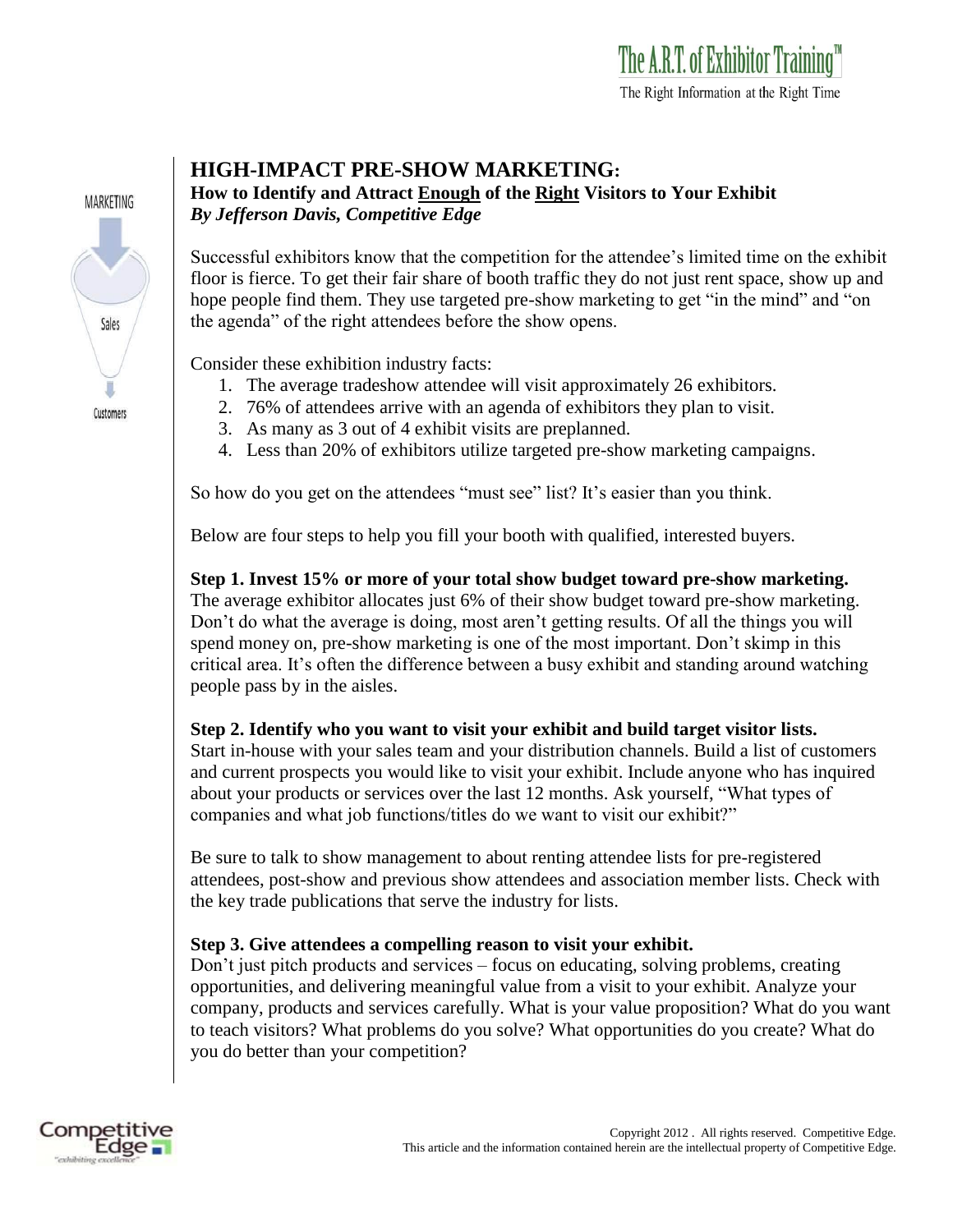

## **HIGH-IMPACT PRE-SHOW MARKETING:**

**How to Identify and Attract Enough of the Right Visitors to Your Exhibit** *By Jefferson Davis, Competitive Edge*

Successful exhibitors know that the competition for the attendee's limited time on the exhibit floor is fierce. To get their fair share of booth traffic they do not just rent space, show up and hope people find them. They use targeted pre-show marketing to get "in the mind" and "on the agenda" of the right attendees before the show opens.

Consider these exhibition industry facts:

- 1. The average tradeshow attendee will visit approximately 26 exhibitors.
- 2. 76% of attendees arrive with an agenda of exhibitors they plan to visit.
- 3. As many as 3 out of 4 exhibit visits are preplanned.
- 4. Less than 20% of exhibitors utilize targeted pre-show marketing campaigns.

So how do you get on the attendees "must see" list? It's easier than you think.

Below are four steps to help you fill your booth with qualified, interested buyers.

**Step 1. Invest 15% or more of your total show budget toward pre-show marketing.** The average exhibitor allocates just 6% of their show budget toward pre-show marketing. Don't do what the average is doing, most aren't getting results. Of all the things you will spend money on, pre-show marketing is one of the most important. Don't skimp in this critical area. It's often the difference between a busy exhibit and standing around watching people pass by in the aisles.

## **Step 2. Identify who you want to visit your exhibit and build target visitor lists.**

Start in-house with your sales team and your distribution channels. Build a list of customers and current prospects you would like to visit your exhibit. Include anyone who has inquired about your products or services over the last 12 months. Ask yourself, "What types of companies and what job functions/titles do we want to visit our exhibit?"

Be sure to talk to show management to about renting attendee lists for pre-registered attendees, post-show and previous show attendees and association member lists. Check with the key trade publications that serve the industry for lists.

## **Step 3. Give attendees a compelling reason to visit your exhibit.**

Don't just pitch products and services – focus on educating, solving problems, creating opportunities, and delivering meaningful value from a visit to your exhibit. Analyze your company, products and services carefully. What is your value proposition? What do you want to teach visitors? What problems do you solve? What opportunities do you create? What do you do better than your competition?